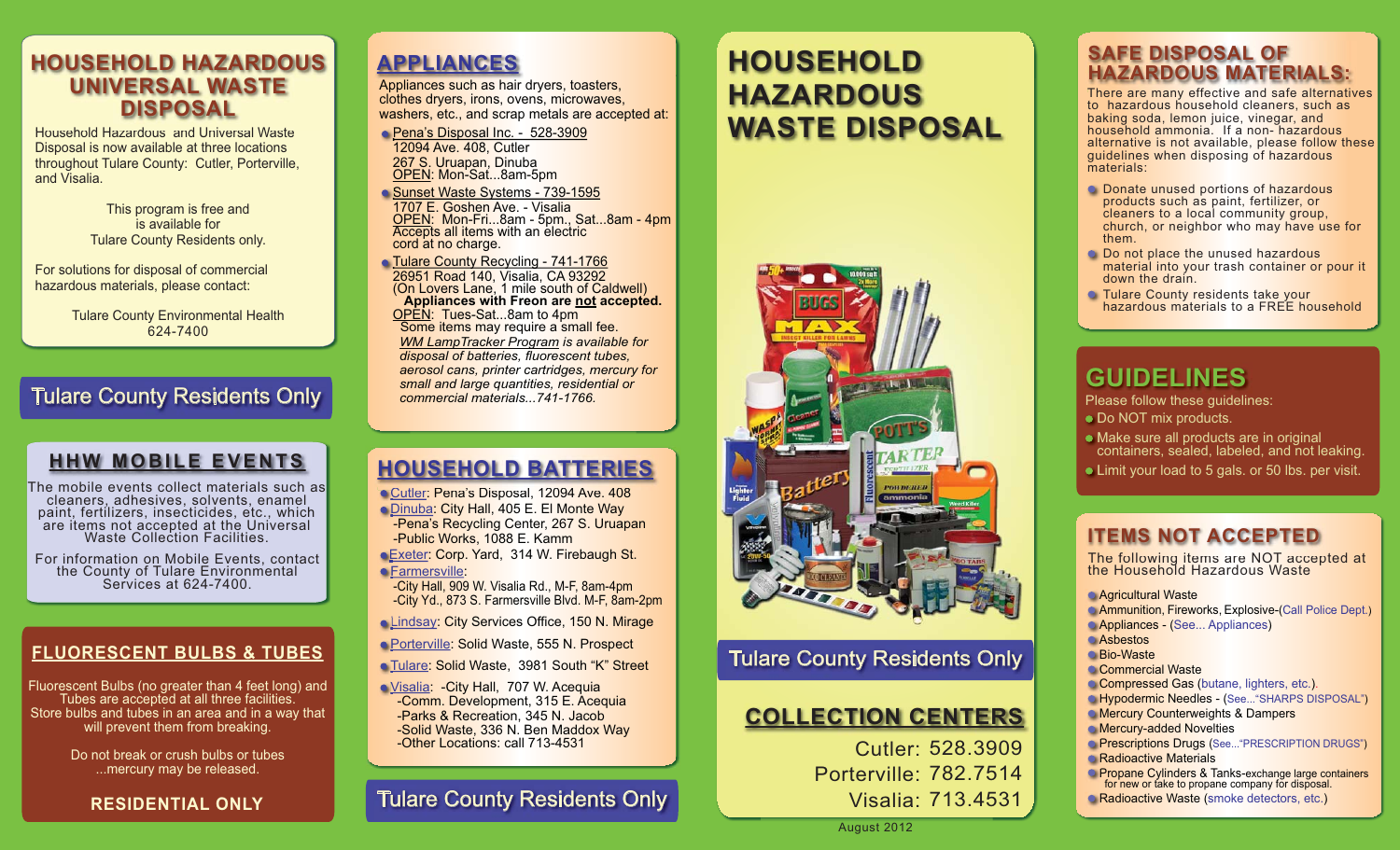# **HOUSEHOLD HAZARDOUSUNIVERSAL WASTE DISPOSAL**

Household Hazardous and Universal Waste Disposal is now available at three locations throughout Tulare County: Cutler, Porterville, and Visalia.

> This program is free and is available forTulare County Residents only.

For solutions for disposal of commercial hazardous materials, please contact:

> Tulare County Environmental Health 624-7400

# Tulare County Residents Only

# **HHW MOBILE EVENTS**

The mobile events collect materials such as cleaners, adhesives, solvents, enamel are items not accepted at the Universal Waste Collection Facilities.

For information on Mobile Events, contact the County of Tulare Environmental<br>Services at 624-7400.

### **FLUORESCENT BULBS & TUBES**

Fluorescent Bulbs (no greater than 4 feet long) and Tubes are accepted at all three facilities. Store bulbs and tubes in an area and in a way that will prevent them from breaking.

> Do not break or crush bulbs or tubes...mercury may be released.

### **RESIDENTIAL ONLY**

# **APPLIANCES**

Appliances such as hair dryers, toasters, clothes dryers, irons, ovens, microwaves, washers, etc., and scrap metals are accepted at:

<u>Pena's Disposal Inc. - 528-3909</u> 12094 Ave. 408, Cutler 267 S. Uruapan, Dinuba<br>OPEN: Mon-Sat...8am-5pm

<u>Sunset Waste Systems - 739-1595</u> 1707 E. Goshen Ave. - Visalia OPEN: Mon-Fri...8am - 5pm., Sat...8am - 4pm **COPEN:** MON-FRI...8am - 5pm., Set...<br> **Accepts all items with an electric cord at no charge.** 

Tulare County Recycling - 741-1766 T 26951 Road 140, Visalia, CA 93292 2(On Lovers Lane, 1 mile south of Caldwell) **Appliances with Freon are not accepted.** OPEN: Tues-Sat...8am to 4pm<br>Some items may require a small fee. *WM LampTracker Program is available for disposal of batteries, fluorescent tubes, aerosol cans, printer cartridges, mercury for small and large quantities, residential or commercial materials...741-1766.*

# **HOUSEHOLD BATTERIES**

<u>Cutler: Pena's D</u>isposal, 12094 Ave. 408

Dinuba: City Hall, 405 E. El Monte Way D -Pena's Recycling Center, 267 S. Uruapan -Public Works, 1088 E. Kamm

<u>Exeter</u>: Corp. Yard, 314 W. Firebaugh St. Farmersville:

-City Hall, 909 W. Visalia Rd., M-F, 8am-4pm -City Yd., 873 S. Farmersville Blvd. M-F, 8am-2pm

<u>Lindsay</u>: City Services Office, 150 N. Mirage

Porterville: Solid Waste, 555 N. Prospect

<u>Tulare</u>: Solid Waste, 3981 South "K" Street

<u>Visalia</u>: -City Hall, 707 W. Acequia -Comm. Development, 315 E. Acequia -Parks & Recreation, 345 N. Jacob -Solid Waste, 336 N. Ben Maddox Way -Other Locations: call 713-4531

# Tulare County Residents Only

# **HOUSEHOLD HAZARDOUS WASTE DISPOSAL**



# Tulare County Residents Only

# **COLLECTION CENTERS**

Cutler: 528.3909 Porterville: 782.7514 Visalia: 713.4531

### **SAFE DISPOSAL OFHAZARDOUS MATERIALS:**

There are many effective and safe alternatives There are many effective and safe alternativ to hazardous household cleaners, such as baking soda, lemon juice, vinegar, and<br>household ammonia. If a non- hazardous alternative is not available, please follow these guidelines when disposing of hazardous materials:

- **C** Donate unused portions of hazardous products such as paint, fertilizer, or cleaners to a local community group, church, or neighbor who may have use for them.
- $\bullet$  Do not place the unused hazardous material into your trash container or pour it down the drain.
- Tulare County residents take your<br>hazardous materials to a FREE household

# **GUIDELINES**

Please follow these guidelines:

- Do NOT mix products. D
- Make sure all products are in original Mcontainers, sealed, labeled, and not leaking.
- Limit your load to 5 gals. or 50 lbs. per visit. L

## **ITEMS NOT ACCEPTED**

The following items are NOT accepted at the Household Hazardous Waste

Agricultural Waste AAmmunition, Fireworks, Explosive-(Call Police Dept.) AAppliances - (See... Appliances) AsbestosABio-Waste Commercial Waste Compressed Gas (butane, lighters, etc.). C**Hypodermic Needles - (**See..."SHARPS DISPOSAL") Mercury Counterweights & Dampers M Mercury-added Novelties MPrescriptions Drugs (See..."PRESCRIPTION DRUGS") Radioactive Materials Propane Cylinders & Tanks-exchange large containers<br>for new or take to propane company for disposal. Radioactive Waste (smoke detectors, etc.) RP